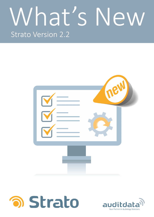# What's New **Strato Version 2.2**





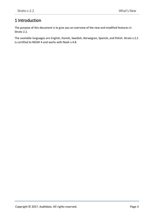# <span id="page-2-0"></span>1 Introduction

The purpose of this document is to give you an overview of the new and modified features in Strato 2.2.

The available languages are English, Danish, Swedish, Norwegian, Spanish, and Polish. Strato v.2.2 is certified to NOAH 4 and works with Noah v.4.8.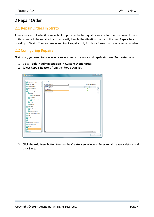## <span id="page-3-1"></span><span id="page-3-0"></span>2 Repair Order

#### 2.1 Repair Orders in Strato

After a successful sale, it is important to provide the best quality service for the customer. If their HI item needs to be repaired, you can easily handle the situation thanks to the new **Repair** functionality in Strato. You can create and track repairs only for those items that have a serial number.

#### <span id="page-3-2"></span>2.2 Configuring Repairs

First of all, you need to have one or several repair reasons and repair statuses. To create them:

- 1. Go to **Tools** -> **Administration** -> **Custom Dictionaries**.
- 2. Select **Repair Reasons** from the drop down list.



3. Click the **Add New** button to open the **Create New** window. Enter repair reasons details and click **Save**.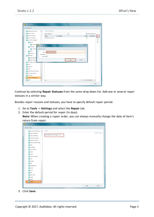| ัก<br>Administration                                   |                                    |                          |                         | $=$<br>$\boxed{\Box}$ | $\Sigma$           |
|--------------------------------------------------------|------------------------------------|--------------------------|-------------------------|-----------------------|--------------------|
| Administration                                         |                                    |                          |                         |                       |                    |
| $\hat{\phantom{a}}$<br><b>Appointment Types</b>        | <b>Custom Dictionaries</b>         |                          |                         |                       |                    |
| <b>Activity Types</b>                                  | <b>Repair Reasons</b>              | $\overline{\phantom{0}}$ |                         | Show Active only      |                    |
| <b>Referral Sources</b>                                | <b>Name</b>                        | <b>Description</b>       | <b>Active</b>           | <b>Predefined</b>     | $\left  + \right $ |
| <b>Document Types</b>                                  | <b>Broken Noise Level</b>          |                          | ✔                       |                       | 一个十一               |
| <b>EXPLORE Templates</b>                               |                                    |                          |                         |                       |                    |
| 鷗<br>Client                                            |                                    |                          |                         |                       |                    |
| 鵐<br>E-mail ter<br><b>Create New</b>                   |                                    |                          | $\overline{\mathbf{x}}$ |                       |                    |
| Scheduler<br>灵                                         |                                    |                          |                         |                       |                    |
| <b>E-mail ter</b><br><b>Repair Reasons</b>             |                                    |                          |                         |                       |                    |
| 큟<br>Stock                                             | <b>Battery Disfunction</b><br>Name |                          |                         |                       |                    |
| 큨<br>Sale Item<br><b>Description</b>                   |                                    |                          |                         |                       |                    |
| <b>Templates</b>                                       | Is Active V                        |                          |                         |                       |                    |
| Sale Template<br>居                                     |                                    |                          |                         |                       |                    |
| <b>Repair Templa</b>                                   |                                    | Cancel<br>Save           |                         |                       |                    |
| <b>Stock Item Status</b>                               |                                    |                          |                         |                       |                    |
| Roles                                                  |                                    |                          |                         |                       |                    |
| <b>Suppliers</b>                                       |                                    |                          |                         |                       |                    |
| <b>ENTs</b>                                            |                                    |                          |                         |                       |                    |
| <b>Appointment Outcomes</b><br><b>Insurance Groups</b> |                                    |                          |                         |                       |                    |
| Insurance                                              |                                    |                          |                         |                       |                    |
| <b>Custom Dictionaries</b>                             |                                    |                          |                         |                       |                    |
| Rules                                                  |                                    |                          |                         |                       |                    |
| $\overline{\phantom{a}}$                               | $\leftarrow$                       |                          |                         | $\,$                  |                    |
|                                                        |                                    |                          |                         | Close                 |                    |
|                                                        |                                    |                          |                         |                       |                    |

Continue by selecting **Repair Statuses** from the same drop down list. Add one or several repair statuses in a similar way.

Besides repair reasons and statuses, you have to specify default repair period.

- 1. Go to **Tools** -> **Settings** and select the **Repair** tab.
- 2. Enter the default period for repair (in days).

**Note:** When creating a repair order, you can always manually change the date of item's return from repair.



3. Click **Save**.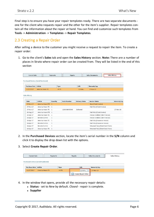Final step is to ensure you have your repair templates ready. There are two separate documents one for the client who requests repair and the other for the item's supplier. Repair templates contain all the information about the repair at hand. You can find and customize such templates from **Tools** -> **Administration** -> **Templates** -> **Repair Templates**.

#### <span id="page-5-0"></span>2.3 Creating a Repair Order

After selling a device to the customer you might receive a request to repair the item. To create a repair order:

1. Go to the client's **Sales** tab and open the **Sales History** section. **Note:** There are a number of places in Strato where repair order can be created from. They will be listed in the end of this section

| <b>Current Sale</b>          |                                            | Payments      | <b>Repairs</b>       |                        | <b>Sales Documents</b>            | <b>Sales History</b>                |                      |
|------------------------------|--------------------------------------------|---------------|----------------------|------------------------|-----------------------------------|-------------------------------------|----------------------|
|                              | <b>Purchased Devices (Serial Numbered)</b> |               |                      |                        |                                   |                                     |                      |
| <b>Purchase Date</b>         | Article                                    | Type          |                      | S/N                    | <b>Warranty Exp.</b>              |                                     |                      |
| 11/27/2017                   | <b>America Hears ITE</b>                   | <b>HI ITE</b> |                      | 123434                 | 27-Nov-19                         |                                     |                      |
| <b>Sales History</b><br>Date | Article                                    | Quantity      | <b>Serial Number</b> | <b>Delivery Status</b> | <b>Invoice Status</b>             |                                     | <b>Warranty Exp.</b> |
| 27-Nov-17                    | <b>America Hears BTE</b>                   | $\mathbf{1}$  |                      |                        | New (Client Invoice)              |                                     |                      |
| 27-Nov-17                    | America Hears ITE                          | 1             |                      |                        | Paid Fully (Client Invoice)       |                                     |                      |
| 27-Nov-17                    | America Hears ITE                          | -1            | 1234346456546        | Delivered              |                                   |                                     | 27-Nov-19            |
| 10-Aug-17                    | America Hears BTE                          | $\mathbf{1}$  |                      |                        | Paid Fully (Client Invoice)       |                                     |                      |
| 14-Apr-17                    | America Hears ITE                          | $\mathbf{1}$  |                      |                        | Invoice Credited (Client Invoice) |                                     |                      |
|                              | Remote Control                             | $\mathbf{1}$  |                      |                        | Invoice Credited (Client Invoice) |                                     |                      |
| 14-Apr-17                    |                                            |               |                      |                        |                                   |                                     |                      |
| 14-Apr-17                    | America Hears ITE                          | $\mathbf{1}$  |                      |                        | Paid Fully (Insurance Invoice)    |                                     |                      |
| 14-Apr-17                    | Remote Control                             | 1             |                      |                        | Paid Fully (Insurance Invoice)    |                                     |                      |
| 14-Apr-17                    | Remote Control                             | 1             |                      |                        |                                   | Returned Fully (Client Credit Note) |                      |

- 2. In the **Purchased Devices** section, locate the item's serial number in the **S/N** column and click it to display the drop down list with the options.
- 3. Select **Create Repair Order**.

| <b>Current Sale</b>                        |                          | Payments |              | Repairs |        | <b>Sales Documents</b> | <b>Sales History</b> |  |
|--------------------------------------------|--------------------------|----------|--------------|---------|--------|------------------------|----------------------|--|
| <b>Purchased Devices (Serial Numbered)</b> |                          |          |              |         |        |                        |                      |  |
|                                            |                          |          |              |         |        |                        |                      |  |
| Purchase Date   Article                    |                          |          | <b>Type</b>  |         | S/N    | <b>Warranty Exp.</b>   |                      |  |
| 11/27/2017                                 | <b>America Hears ITE</b> |          | <b>HIITE</b> |         | 123434 | 27-Nov-19              |                      |  |

- 4. In the window that opens, provide all the necessary repair details:
	- Status set to *New* by default. *Closed* repair is complete.
	- **.** Supplier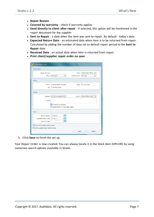- <sup>l</sup> **Repair Reason**
- <sup>l</sup> **Covered by warranty** check if warranty applies
- <sup>l</sup> **Send directly to client after repair** if selected, this option will be mentioned in the repair document for the supplier
- **Sent to Repair** a date when the item was sent to repair. By default today's date.
- **Expected Return Date** an estimated date when item is to be returned from repair. Calculated by adding the number of days set as default repair period to the **Sent to Repair** date.
- **Received Date** an actual date when item is returned from repair.
- <sup>l</sup> **Print client/supplier repair order on save**

| <b>Create Repair Order</b>          |                                         |                           |                                              | $\overline{\mathbf{x}}$ |
|-------------------------------------|-----------------------------------------|---------------------------|----------------------------------------------|-------------------------|
| <b>Repair Order</b>                 |                                         |                           |                                              |                         |
| <b>Repair Number</b>                |                                         | Office                    | Copenhagen Office<br>$\overline{\mathbf{v}}$ |                         |
| <b>Status</b>                       | In Progress<br>$\overline{\phantom{0}}$ | Contact Person   John Doe | $\overline{\phantom{a}}$                     |                         |
| <b>Article</b>                      |                                         |                           |                                              |                         |
| Article                             | America Hears ITE (5467                 |                           | Client   Ms. Joan Doe                        |                         |
| S/N                                 | 1234346456546                           |                           |                                              |                         |
| <b>Details</b>                      |                                         |                           |                                              |                         |
| Supplier                            | Danish Hearing Aid $S =$                | Reason                    | <b>Broken Noise Level</b>                    |                         |
| <b>Notes</b>                        |                                         |                           |                                              |                         |
|                                     | Covered by warranty<br>v                |                           |                                              |                         |
|                                     | Send directly to Client after repair    |                           |                                              |                         |
| <b>Dates</b>                        |                                         |                           |                                              |                         |
| <b>Send to Repair</b>               | 尙<br>27-Nov-17                          |                           |                                              |                         |
| <b>Expected Return Date</b>         | Ħ<br>09-Dec-17                          |                           |                                              |                         |
| <b>Received Date</b>                | 茼                                       |                           |                                              |                         |
| Print client repair order on save   |                                         |                           |                                              |                         |
| Print supplier repair order on save |                                         |                           |                                              |                         |
|                                     |                                         | Save                      | Cancel                                       |                         |

5. Click **Save** to finish the set up.

Your Repair Order is now created. You can always locate it in the Stock Item EXPLORE by using numerous search options available in Strato.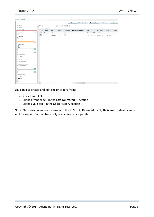| <b>Stock Item EXPLORE</b>                                                                                                                                                                                   |                               |                |                        |         |                          |            |                               |                   |             |                          |        |
|-------------------------------------------------------------------------------------------------------------------------------------------------------------------------------------------------------------|-------------------------------|----------------|------------------------|---------|--------------------------|------------|-------------------------------|-------------------|-------------|--------------------------|--------|
|                                                                                                                                                                                                             |                               |                |                        |         |                          |            | Open Template<br>Search       | New Stock Item    | Export      | $\overline{\phantom{a}}$ | Import |
| <b><sup>≥</sup></b> General<br><b>≥</b> Article<br><b>≥</b> Client Data                                                                                                                                     | Le.                           | Filter         | 2 stock item(s) found: |         | $\overline{\phantom{a}}$ |            |                               |                   |             |                          |        |
| Repair Order                                                                                                                                                                                                | $\overline{\mathsf{x}}$       | $\Box$         | Article Type           | Client  | Colo                     | Commission | <b>Commission Return Date</b> | Office            | Serial Numb | Status                   | Suppli |
| In Repair                                                                                                                                                                                                   | ×                             | $\blacksquare$ | <b>HITE</b>            | John D  |                          | □          |                               | Copenhagen Office | SN012345    | Delivered                |        |
| $\blacktriangledown$                                                                                                                                                                                        |                               | П              | <b>HI ITE</b>          | Ms. Joa | Black                    | $\Box$     |                               | Copenhagen Office | 12343464    | Delivered                |        |
| Is Overdue<br>$\Box$                                                                                                                                                                                        |                               |                |                        |         |                          |            |                               |                   |             |                          |        |
| <b>Repair Order Status</b><br><b>New</b>                                                                                                                                                                    | ×<br>$\overline{\phantom{a}}$ |                |                        |         |                          |            |                               |                   |             |                          |        |
| Send to Repair<br>Absolute Dates<br>From<br>To<br>Relative Dates<br>Last Days<br>Next Days<br>Include today<br><b>Expected Return Date</b><br>Absolute Dates<br>From<br>To<br>○ Relative Dates<br>Last Days | 蜀<br>骨<br>蜀<br>骨              |                |                        |         |                          |            |                               |                   |             |                          |        |
| Next Days<br>Include today                                                                                                                                                                                  |                               |                |                        |         |                          |            |                               |                   |             |                          |        |
|                                                                                                                                                                                                             |                               | 4.             |                        |         |                          |            |                               |                   |             |                          |        |
|                                                                                                                                                                                                             |                               |                |                        |         |                          |            |                               |                   |             |                          |        |

You can also create and edit repair orders from:

- Stock Item EXPLORE
- <sup>l</sup> Client's front page in the **Last Delivered HI** section
- <sup>l</sup> Client's **Sale** tab in the **Sales History** section

**Note:** Only serial numbered items with the **In Stock**, **Reserved**, **Lent**, **Delivered** statuses can be sent for repair. You can have only one active repair per item.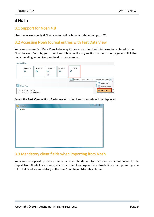## <span id="page-8-1"></span><span id="page-8-0"></span>3 Noah

#### 3.1 Support for Noah 4.8

<span id="page-8-2"></span>Strato now works only if Noah version 4.8 or later is installed on your PC.

#### 3.2 Accessing Noah Journal entries with Fast Data View

You can now use Fast Data View to have quick access to the client's information entered in the Noah Journal. For this, go to the client's **Session History** section on their front page and click the corresponding action to open the drop down menu.

| <b>Session History</b> |                                                        |                |                                          |                |                |                                                                              |
|------------------------|--------------------------------------------------------|----------------|------------------------------------------|----------------|----------------|------------------------------------------------------------------------------|
|                        | 14-Apr-17<br>偑                                         | 10-Aug-17<br>皥 | 20-Nov-17<br>$\mathfrak{A}_\lambda$<br>₹ | 27-Nov-17<br>皥 | 28-Nov-17<br>త |                                                                              |
|                        |                                                        |                |                                          |                | lø.            | 28-Nov-17 10:51 - adm - Journal Entry 'Client Info'   ▼                      |
|                        |                                                        |                |                                          |                |                | Open action                                                                  |
|                        | <b>Client Data</b>                                     |                |                                          |                |                | Delete action                                                                |
|                        | Ms. Joan Doe (Client)<br>Born 09-Jun-59 (58 years old) |                |                                          |                |                | D.OC<br><b>Fast View</b><br>$\mathbf{w}$<br>$T10111$ unent $\{t1, 204, 00\}$ |

Select the **Fast View** option. A window with the client's records will be displayed.

| 令<br><b>Fast View</b> | $\overline{\mathbf{z}}$<br>$\qquad \qquad \Box$<br>$\qquad \qquad \Box$ |
|-----------------------|-------------------------------------------------------------------------|
| <b>Client Info</b>    |                                                                         |
|                       |                                                                         |
|                       |                                                                         |
|                       |                                                                         |
|                       |                                                                         |
|                       |                                                                         |
|                       |                                                                         |
|                       |                                                                         |
|                       |                                                                         |
|                       |                                                                         |

#### <span id="page-8-3"></span>3.3 Mandatory client fields when importing from Noah

You can now separately specify mandatory client fields both for the new client creation and for the import from Noah. For instance, if you load client audiogram from Noah, Strato will prompt you to fill in fields set as mandatory in the new **Start Noah Module** column.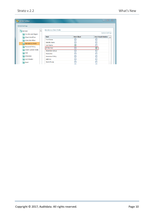| <b>Global Settings</b>      |   |                                |                          | $\overline{\mathbf{x}}$<br>▣<br>$\qquad \qquad \Box$ |
|-----------------------------|---|--------------------------------|--------------------------|------------------------------------------------------|
| <b>Global Settings</b>      |   |                                |                          |                                                      |
| General                     | ▵ | <b>Mandatory Client Fields</b> |                          |                                                      |
| Country and Region          |   |                                |                          | <b>System Settings</b>                               |
| <b>Client Workflow</b><br>醒 |   | <b>Field</b>                   | <b>New Client</b>        | <b>Start Noah Module</b>                             |
| <b>Clinic Workflow</b><br>鷗 |   | <b>First Name</b>              |                          |                                                      |
| Mandatory Fields            |   | <b>Middle Name</b>             |                          |                                                      |
| <b>Password Policy</b><br>醒 |   | <b>Last Name</b>               | ☑                        |                                                      |
|                             |   | <b>SS Number</b>               |                          | ⊽                                                    |
| <b>Client Custom Fields</b> |   | <b>Insurance Group</b>         |                          |                                                      |
| sale                        |   | Insurance                      |                          |                                                      |
| Scheduler                   |   | <b>Insurance Policy</b>        |                          |                                                      |
| <b>Card Reader</b><br>監     |   | <b>Address</b>                 |                          |                                                      |
| 鷗<br>Noah                   |   | <b>Work Phone</b>              |                          |                                                      |
|                             |   |                                | $\overline{\phantom{0}}$ | $\overline{\phantom{0}}$                             |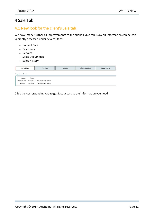## <span id="page-10-1"></span><span id="page-10-0"></span>4 Sale Tab

#### 4.1 New look for the client's Sale tab

We have made further UI improvements to the client's **Sale** tab. Now all information can be conveniently accessed under several tabs:

- Current Sale
- Payments
- Repairs
- Sales Documents
- Sales History

| <b>Current Sale</b>    |        | Payments                                     |  | Repairs | <b>Sales Documents</b> | <b>Sales History</b> |
|------------------------|--------|----------------------------------------------|--|---------|------------------------|----------------------|
| <b>Payment balance</b> |        |                                              |  |         |                        |                      |
|                        |        |                                              |  |         |                        |                      |
| Deposit                | €30.00 |                                              |  |         |                        |                      |
|                        |        | From client (€6,615.00) From insurance €0.00 |  |         |                        |                      |
|                        |        | To client €6,233.00 To insurance €0.00       |  |         |                        |                      |

Click the corresponding tab to get fast access to the information you need.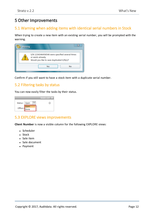## <span id="page-11-1"></span><span id="page-11-0"></span>5 Other Improvements

#### 5.1 Warning when adding items with identical serial numbers in Stock

When trying to create a new item with an existing serial number, you will be prompted with the warning.



<span id="page-11-2"></span>Confirm if you still want to have a stock item with a duplicate serial number.

#### 5.2 Filtering tasks by status

You can now easily filter the tasks by their status.

|                |      | <b>TASKS LIST</b> |
|----------------|------|-------------------|
| Status:   Open |      |                   |
| Office von     |      |                   |
|                | )one |                   |

#### <span id="page-11-3"></span>5.3 EXPLORE views improvements

**Client Number** is now a visible column for the following EXPLORE views:

- Scheduler
- $\bullet$  Stock
- Sale item
- Sale document
- Payment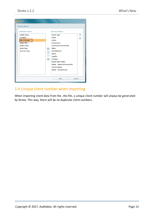

#### <span id="page-12-0"></span>5.4 Unique client number when importing

When importing client data from the .nhx file, a unique client number will always be generated by Strato. This way, there will be no duplicate client numbers.